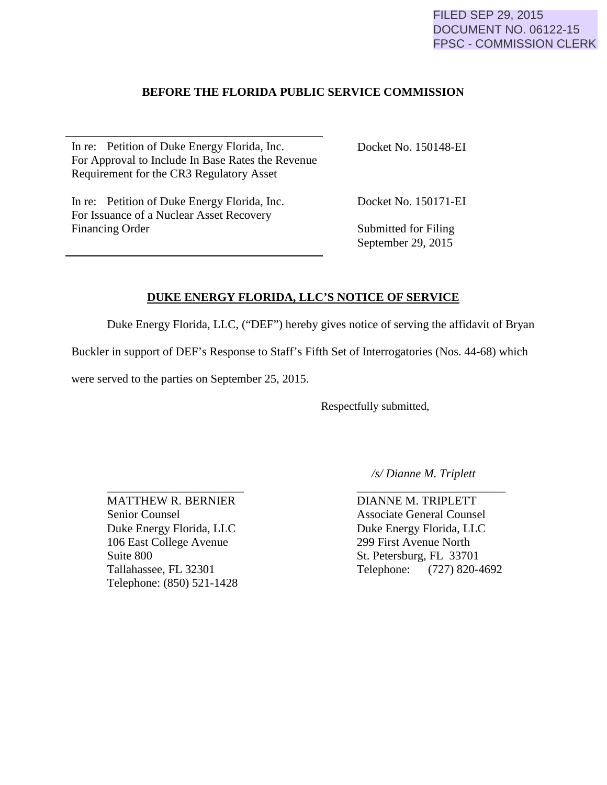### **BEFORE THE FLORIDA PUBLIC SERVICE COMMISSION**

In re: Petition of Duke Energy Florida, Inc. For Approval to Include In Base Rates the Revenue Requirement for the CR3 Regulatory Asset

In re: Petition of Duke Energy Florida, Inc. For Issuance of a Nuclear Asset Recovery Financing Order

Docket No. 150148-EI

Docket No. 150171-EI

Submitted for Filing September 29, 2015

## **DUKE ENERGY FLORIDA, LLC'S NOTICE OF SERVICE**

Duke Energy Florida, LLC, ("DEF") hereby gives notice of serving the affidavit of Bryan

Buckler in support of DEF's Response to Staff's Fifth Set of Interrogatories (Nos. 44-68) which

were served to the parties on September 25, 2015.

Respectfully submitted,

\_\_\_\_\_\_\_\_\_\_\_\_\_\_\_\_\_\_\_\_\_\_\_ \_\_\_\_\_\_\_\_\_\_\_\_\_\_\_\_\_\_\_\_\_\_\_\_\_ MATTHEW R. BERNIER DIANNE M. TRIPLETT Senior Counsel Associate General Counsel Duke Energy Florida, LLC<br>
106 East College Avenue<br>
299 First Avenue North 106 East College Avenue Suite 800 St. Petersburg, FL 33701 Telephone: (850) 521-1428

 */s/ Dianne M. Triplett*

Tallahassee, FL 32301 Telephone: (727) 820-4692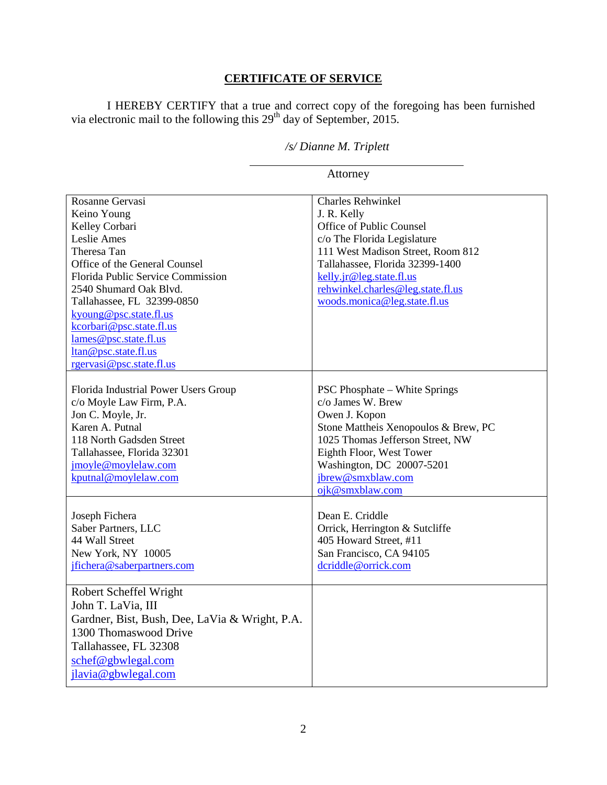# **CERTIFICATE OF SERVICE**

I HEREBY CERTIFY that a true and correct copy of the foregoing has been furnished via electronic mail to the following this  $29<sup>th</sup>$  day of September, 2015.

# */s/ Dianne M. Triplett*

<u> 1990 - Johann Barbara, martin a</u>

| Attorney                                                                                                                                                                                                                                                                                                                                        |                                                                                                                                                                                                                                                                             |
|-------------------------------------------------------------------------------------------------------------------------------------------------------------------------------------------------------------------------------------------------------------------------------------------------------------------------------------------------|-----------------------------------------------------------------------------------------------------------------------------------------------------------------------------------------------------------------------------------------------------------------------------|
| Rosanne Gervasi<br>Keino Young<br>Kelley Corbari<br>Leslie Ames<br>Theresa Tan<br>Office of the General Counsel<br>Florida Public Service Commission<br>2540 Shumard Oak Blvd.<br>Tallahassee, FL 32399-0850<br>kyoung@psc.state.fl.us<br>kcorbari@psc.state.fl.us<br>lames@psc.state.fl.us<br>ltan@psc.state.fl.us<br>rgervasi@psc.state.fl.us | <b>Charles Rehwinkel</b><br>J. R. Kelly<br>Office of Public Counsel<br>c/o The Florida Legislature<br>111 West Madison Street, Room 812<br>Tallahassee, Florida 32399-1400<br>kelly.jr@leg.state.fl.us<br>rehwinkel.charles@leg.state.fl.us<br>woods.monica@leg.state.fl.us |
| Florida Industrial Power Users Group<br>c/o Moyle Law Firm, P.A.<br>Jon C. Moyle, Jr.<br>Karen A. Putnal<br>118 North Gadsden Street<br>Tallahassee, Florida 32301<br>jmoyle@moylelaw.com<br>kputnal@moylelaw.com                                                                                                                               | <b>PSC Phosphate – White Springs</b><br>$c/\sigma$ James W. Brew<br>Owen J. Kopon<br>Stone Mattheis Xenopoulos & Brew, PC<br>1025 Thomas Jefferson Street, NW<br>Eighth Floor, West Tower<br>Washington, DC 20007-5201<br>jbrew@smxblaw.com<br>ojk@smxblaw.com              |
| Joseph Fichera<br>Saber Partners, LLC<br>44 Wall Street<br>New York, NY 10005<br>jfichera@saberpartners.com                                                                                                                                                                                                                                     | Dean E. Criddle<br>Orrick, Herrington & Sutcliffe<br>405 Howard Street, #11<br>San Francisco, CA 94105<br>dcriddle@orrick.com                                                                                                                                               |
| Robert Scheffel Wright<br>John T. LaVia, III<br>Gardner, Bist, Bush, Dee, LaVia & Wright, P.A.<br>1300 Thomaswood Drive<br>Tallahassee, FL 32308<br>schef@gbwlegal.com<br>jlavia@gbwlegal.com                                                                                                                                                   |                                                                                                                                                                                                                                                                             |